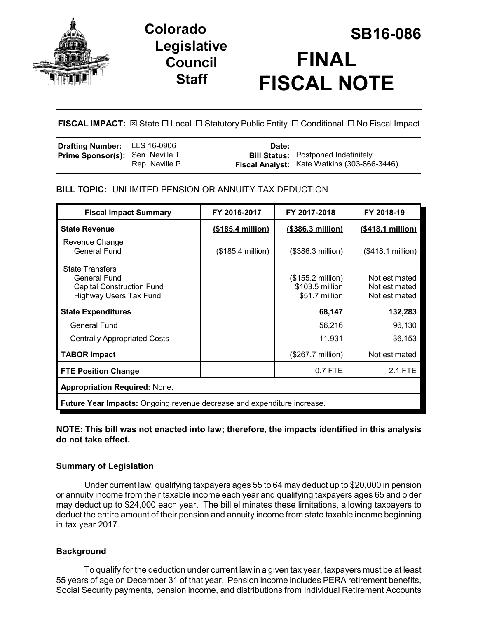

# **Legislative Council Staff**

# **SB16-086 Colorado FINAL FISCAL NOTE**

**FISCAL IMPACT:**  $\boxtimes$  **State □ Local □ Statutory Public Entity □ Conditional □ No Fiscal Impact** 

| <b>Drafting Number:</b> LLS 16-0906      |                 | Date: |                                                                                           |
|------------------------------------------|-----------------|-------|-------------------------------------------------------------------------------------------|
| <b>Prime Sponsor(s):</b> Sen. Neville T. | Rep. Neville P. |       | <b>Bill Status:</b> Postponed Indefinitely<br>Fiscal Analyst: Kate Watkins (303-866-3446) |

## **BILL TOPIC:** UNLIMITED PENSION OR ANNUITY TAX DEDUCTION

| <b>Fiscal Impact Summary</b>                                                                         | FY 2016-2017       | FY 2017-2018                                                    | FY 2018-19                                      |  |
|------------------------------------------------------------------------------------------------------|--------------------|-----------------------------------------------------------------|-------------------------------------------------|--|
| <b>State Revenue</b>                                                                                 | $($185.4$ million) | (\$386.3 million)                                               | (\$418.1 million)                               |  |
| Revenue Change<br><b>General Fund</b>                                                                | (\$185.4 million)  | $($386.3$ million)                                              | (\$418.1 million)                               |  |
| <b>State Transfers</b><br>General Fund<br><b>Capital Construction Fund</b><br>Highway Users Tax Fund |                    | $($155.2 \text{ million})$<br>\$103.5 million<br>\$51.7 million | Not estimated<br>Not estimated<br>Not estimated |  |
| <b>State Expenditures</b>                                                                            |                    | 68,147                                                          | 132,283                                         |  |
| General Fund                                                                                         |                    | 56,216                                                          | 96,130                                          |  |
| <b>Centrally Appropriated Costs</b>                                                                  |                    | 11,931                                                          | 36,153                                          |  |
| <b>TABOR Impact</b>                                                                                  |                    | (\$267.7 million)                                               | Not estimated                                   |  |
| <b>FTE Position Change</b>                                                                           |                    | 0.7 FTE                                                         | 2.1 FTE                                         |  |
| <b>Appropriation Required: None.</b>                                                                 |                    |                                                                 |                                                 |  |
| Future Year Impacts: Ongoing revenue decrease and expenditure increase.                              |                    |                                                                 |                                                 |  |

#### **NOTE: This bill was not enacted into law; therefore, the impacts identified in this analysis do not take effect.**

### **Summary of Legislation**

Under current law, qualifying taxpayers ages 55 to 64 may deduct up to \$20,000 in pension or annuity income from their taxable income each year and qualifying taxpayers ages 65 and older may deduct up to \$24,000 each year. The bill eliminates these limitations, allowing taxpayers to deduct the entire amount of their pension and annuity income from state taxable income beginning in tax year 2017.

# **Background**

To qualify for the deduction under current law in a given tax year, taxpayers must be at least 55 years of age on December 31 of that year. Pension income includes PERA retirement benefits, Social Security payments, pension income, and distributions from Individual Retirement Accounts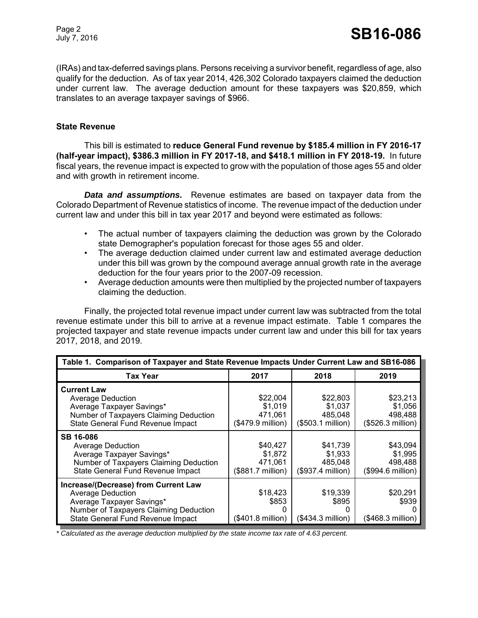(IRAs) and tax-deferred savings plans. Persons receiving a survivor benefit, regardless of age, also qualify for the deduction. As of tax year 2014, 426,302 Colorado taxpayers claimed the deduction under current law. The average deduction amount for these taxpayers was \$20,859, which translates to an average taxpayer savings of \$966.

#### **State Revenue**

This bill is estimated to **reduce General Fund revenue by \$185.4 million in FY 2016-17 (half-year impact), \$386.3 million in FY 2017-18, and \$418.1 million in FY 2018-19.** In future fiscal years, the revenue impact is expected to grow with the population of those ages 55 and older and with growth in retirement income.

*Data and assumptions.* Revenue estimates are based on taxpayer data from the Colorado Department of Revenue statistics of income. The revenue impact of the deduction under current law and under this bill in tax year 2017 and beyond were estimated as follows:

- The actual number of taxpayers claiming the deduction was grown by the Colorado state Demographer's population forecast for those ages 55 and older.
- The average deduction claimed under current law and estimated average deduction under this bill was grown by the compound average annual growth rate in the average deduction for the four years prior to the 2007-09 recession.
- Average deduction amounts were then multiplied by the projected number of taxpayers claiming the deduction.

Finally, the projected total revenue impact under current law was subtracted from the total revenue estimate under this bill to arrive at a revenue impact estimate. Table 1 compares the projected taxpayer and state revenue impacts under current law and under this bill for tax years 2017, 2018, and 2019.

| Table 1. Comparison of Taxpayer and State Revenue Impacts Under Current Law and SB16-086                                                                                     |                                                     |                                                     |                                                     |
|------------------------------------------------------------------------------------------------------------------------------------------------------------------------------|-----------------------------------------------------|-----------------------------------------------------|-----------------------------------------------------|
| <b>Tax Year</b>                                                                                                                                                              | 2017                                                | 2018                                                | 2019                                                |
| <b>Current Law</b><br><b>Average Deduction</b><br>Average Taxpayer Savings*<br>Number of Taxpayers Claiming Deduction<br>State General Fund Revenue Impact                   | \$22,004<br>\$1,019<br>471.061<br>(\$479.9 million) | \$22,803<br>\$1,037<br>485.048<br>(\$503.1 million) | \$23,213<br>\$1,056<br>498,488<br>(\$526.3 million) |
| <b>SB 16-086</b><br><b>Average Deduction</b><br>Average Taxpayer Savings*<br>Number of Taxpayers Claiming Deduction<br>State General Fund Revenue Impact                     | \$40,427<br>\$1,872<br>471,061<br>(\$881.7 million) | \$41,739<br>\$1,933<br>485,048<br>(\$937.4 million) | \$43,094<br>\$1,995<br>498,488<br>(\$994.6 million) |
| Increase/(Decrease) from Current Law<br><b>Average Deduction</b><br>Average Taxpayer Savings*<br>Number of Taxpayers Claiming Deduction<br>State General Fund Revenue Impact | \$18,423<br>\$853<br>0<br>(\$401.8 million)         | \$19,339<br>\$895<br>(\$434.3 million)              | \$20,291<br>\$939<br>(\$468.3 million)              |

*\* Calculated as the average deduction multiplied by the state income tax rate of 4.63 percent.*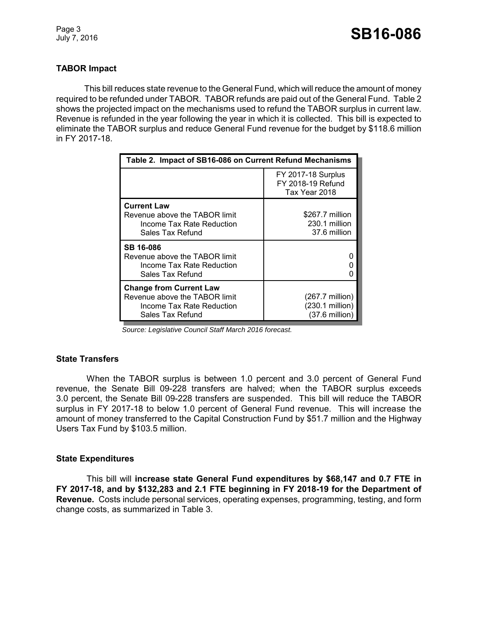Page 3

#### **TABOR Impact**

This bill reduces state revenue to the General Fund, which will reduce the amount of money required to be refunded under TABOR. TABOR refunds are paid out of the General Fund. Table 2 shows the projected impact on the mechanisms used to refund the TABOR surplus in current law. Revenue is refunded in the year following the year in which it is collected. This bill is expected to eliminate the TABOR surplus and reduce General Fund revenue for the budget by \$118.6 million in FY 2017-18.

| Table 2. Impact of SB16-086 on Current Refund Mechanisms                                                                |                                                                          |  |
|-------------------------------------------------------------------------------------------------------------------------|--------------------------------------------------------------------------|--|
|                                                                                                                         | <b>FY 2017-18 Surplus</b><br>FY 2018-19 Refund<br>Tax Year 2018          |  |
| <b>Current Law</b><br>Revenue above the TABOR limit<br>Income Tax Rate Reduction<br>Sales Tax Refund                    | \$267.7 million<br>230.1 million<br>37.6 million                         |  |
| <b>SB 16-086</b><br>Revenue above the TABOR limit<br>Income Tax Rate Reduction<br>Sales Tax Refund                      |                                                                          |  |
| <b>Change from Current Law</b><br>Revenue above the TABOR limit<br><b>Income Tax Rate Reduction</b><br>Sales Tax Refund | $(267.7 \text{ million})$<br>(230.1 million)<br>$(37.6 \text{ million})$ |  |

 *Source: Legislative Council Staff March 2016 forecast.*

#### **State Transfers**

When the TABOR surplus is between 1.0 percent and 3.0 percent of General Fund revenue, the Senate Bill 09-228 transfers are halved; when the TABOR surplus exceeds 3.0 percent, the Senate Bill 09-228 transfers are suspended. This bill will reduce the TABOR surplus in FY 2017-18 to below 1.0 percent of General Fund revenue. This will increase the amount of money transferred to the Capital Construction Fund by \$51.7 million and the Highway Users Tax Fund by \$103.5 million.

#### **State Expenditures**

This bill will **increase state General Fund expenditures by \$68,147 and 0.7 FTE in FY 2017-18, and by \$132,283 and 2.1 FTE beginning in FY 2018-19 for the Department of Revenue.** Costs include personal services, operating expenses, programming, testing, and form change costs, as summarized in Table 3.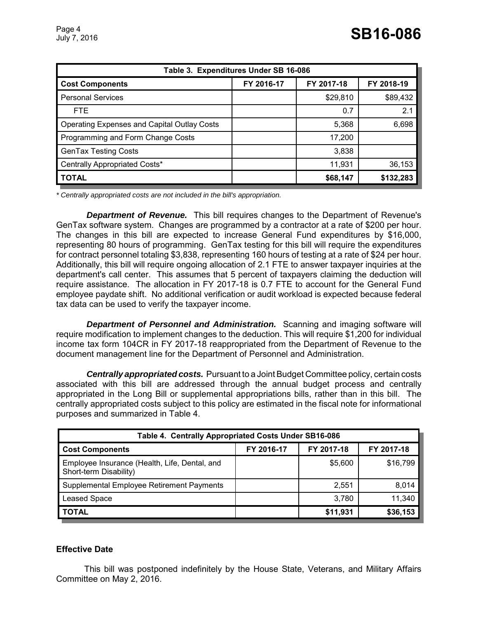| Table 3. Expenditures Under SB 16-086              |            |            |            |  |
|----------------------------------------------------|------------|------------|------------|--|
| <b>Cost Components</b>                             | FY 2016-17 | FY 2017-18 | FY 2018-19 |  |
| <b>Personal Services</b>                           |            | \$29,810   | \$89,432   |  |
| FTE.                                               |            | 0.7        | 2.1        |  |
| <b>Operating Expenses and Capital Outlay Costs</b> |            | 5,368      | 6,698      |  |
| Programming and Form Change Costs                  |            | 17,200     |            |  |
| <b>GenTax Testing Costs</b>                        |            | 3,838      |            |  |
| Centrally Appropriated Costs*                      |            | 11,931     | 36,153     |  |
| <b>TOTAL</b>                                       |            | \$68,147   | \$132,283  |  |

*\* Centrally appropriated costs are not included in the bill's appropriation.*

*Department of Revenue.* This bill requires changes to the Department of Revenue's GenTax software system. Changes are programmed by a contractor at a rate of \$200 per hour. The changes in this bill are expected to increase General Fund expenditures by \$16,000, representing 80 hours of programming. GenTax testing for this bill will require the expenditures for contract personnel totaling \$3,838, representing 160 hours of testing at a rate of \$24 per hour. Additionally, this bill will require ongoing allocation of 2.1 FTE to answer taxpayer inquiries at the department's call center. This assumes that 5 percent of taxpayers claiming the deduction will require assistance. The allocation in FY 2017-18 is 0.7 FTE to account for the General Fund employee paydate shift. No additional verification or audit workload is expected because federal tax data can be used to verify the taxpayer income.

*Department of Personnel and Administration.* Scanning and imaging software will require modification to implement changes to the deduction. This will require \$1,200 for individual income tax form 104CR in FY 2017-18 reappropriated from the Department of Revenue to the document management line for the Department of Personnel and Administration.

*Centrally appropriated costs.* Pursuant to a Joint Budget Committee policy, certain costs associated with this bill are addressed through the annual budget process and centrally appropriated in the Long Bill or supplemental appropriations bills, rather than in this bill. The centrally appropriated costs subject to this policy are estimated in the fiscal note for informational purposes and summarized in Table 4.

| Table 4. Centrally Appropriated Costs Under SB16-086                    |            |            |            |  |
|-------------------------------------------------------------------------|------------|------------|------------|--|
| <b>Cost Components</b>                                                  | FY 2016-17 | FY 2017-18 | FY 2017-18 |  |
| Employee Insurance (Health, Life, Dental, and<br>Short-term Disability) |            | \$5,600    | \$16,799   |  |
| Supplemental Employee Retirement Payments                               |            | 2,551      | 8,014      |  |
| <b>Leased Space</b>                                                     |            | 3,780      | 11,340     |  |
| <b>TOTAL</b>                                                            |            | \$11,931   | \$36,153   |  |

#### **Effective Date**

This bill was postponed indefinitely by the House State, Veterans, and Military Affairs Committee on May 2, 2016.